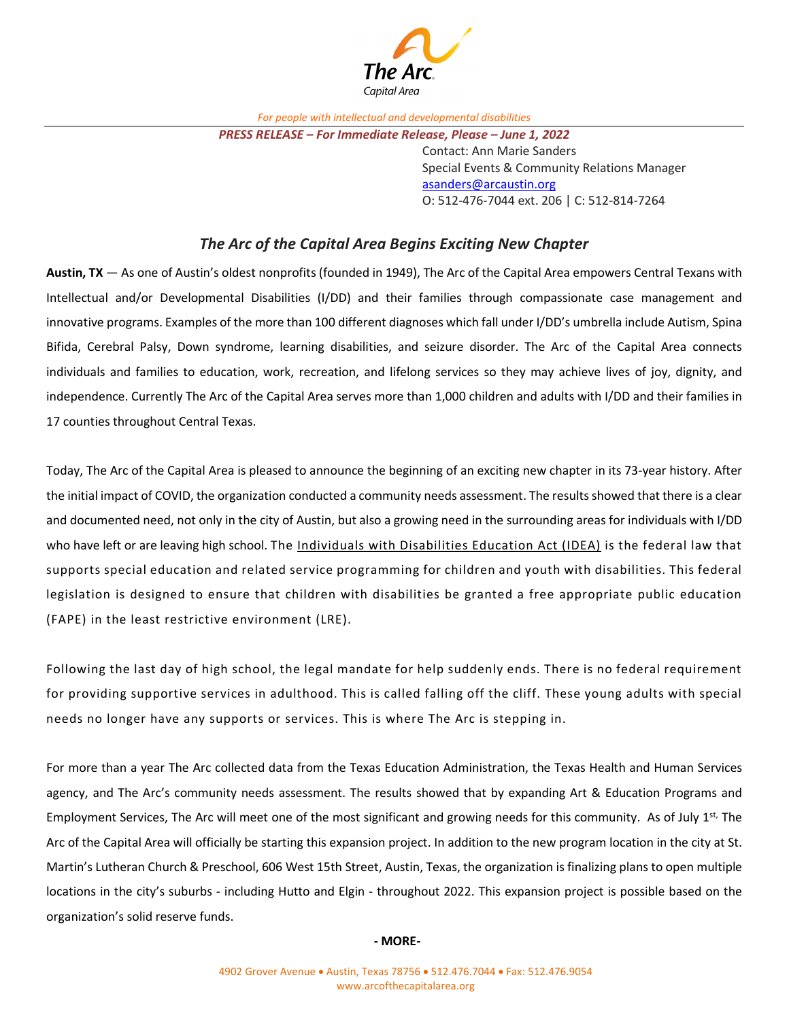

*For people with intellectual and developmental disabilities*

Contact: Ann Marie Sanders Special Events & Community Relations Manager [asanders@arcaustin.org](mailto:asanders@arcaustin.org) O: 512-476-7044 ext. 206 | C: 512-814-7264

## *The Arc of the Capital Area Begins Exciting New Chapter*

**Austin, TX** — As one of Austin's oldest nonprofits (founded in 1949), The Arc of the Capital Area empowers Central Texans with Intellectual and/or Developmental Disabilities (I/DD) and their families through compassionate case management and innovative programs. Examples of the more than 100 different diagnoses which fall under I/DD's umbrella include Autism, Spina Bifida, Cerebral Palsy, Down syndrome, learning disabilities, and seizure disorder. The Arc of the Capital Area connects individuals and families to education, work, recreation, and lifelong services so they may achieve lives of joy, dignity, and independence. Currently The Arc of the Capital Area serves more than 1,000 children and adults with I/DD and their families in 17 counties throughout Central Texas.

Today, The Arc of the Capital Area is pleased to announce the beginning of an exciting new chapter in its 73-year history. After the initial impact of COVID, the organization conducted a community needs assessment. The results showed that there is a clear and documented need, not only in the city of Austin, but also a growing need in the surrounding areas for individuals with I/DD who have left or are leaving high school. The [Individuals with Disabilities Education Act \(IDEA\)](https://sites.ed.gov/idea/) is the federal law that supports special education and related service programming for children and youth with disabilities. This federal legislation is designed to ensure that children with disabilities be granted a free appropriate public education (FAPE) in the least restrictive environment (LRE).

Following the last day of high school, the legal mandate for help suddenly ends. There is no federal requirement for providing supportive services in adulthood. This is called falling off the cliff. These young adults with special needs no longer have any supports or services. This is where The Arc is stepping in.

For more than a year The Arc collected data from the Texas Education Administration, the Texas Health and Human Services agency, and The Arc's community needs assessment. The results showed that by expanding Art & Education Programs and Employment Services, The Arc will meet one of the most significant and growing needs for this community. As of July  $1^{st}$ , The Arc of the Capital Area will officially be starting this expansion project. In addition to the new program location in the city at St. Martin's Lutheran Church & Preschool, 606 West 15th Street, Austin, Texas, the organization is finalizing plans to open multiple locations in the city's suburbs - including Hutto and Elgin - throughout 2022. This expansion project is possible based on the organization's solid reserve funds.

**- MORE-**